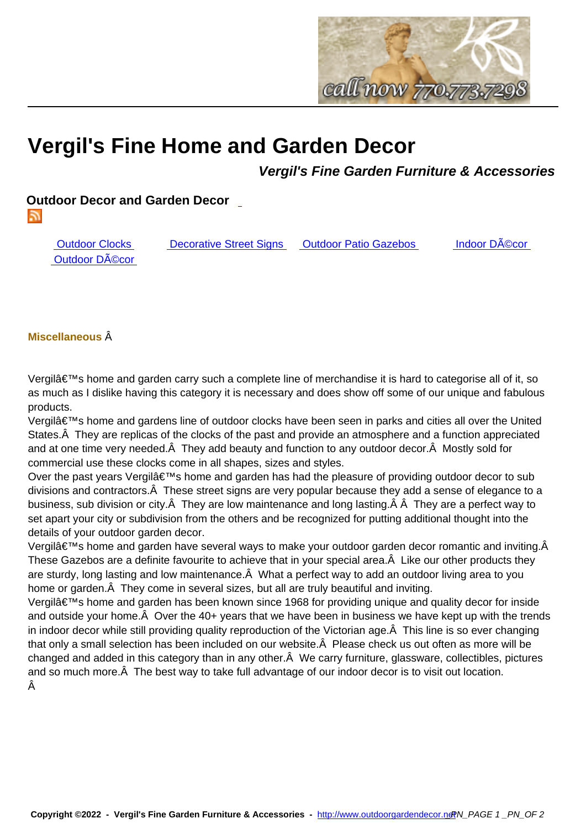

## **Vergil's Fine Home and Gar[den Decor](http://www.outdoorgardendecor.net)**

**Vergil's Fine Garden Furniture & Accessories**

**Outdoor Decor and Garden Decor** 

5

Outdoor Clocks Decorative Street Signs Outdoor Patio Gazebos Indoor Décor Outdoor Décor

## **Miscellaneous**

Vergilâ€<sup>™</sup>s home and garden carry such a complete line of merchandise it is hard to categorise all of it, so as much as I dislike having this category it is necessary and does show off some of our unique and fabulous products.

Vergil's home and gardens line of outdoor clocks have been seen in parks and cities all over the United States. A They are replicas of the clocks of the past and provide an atmosphere and a function appreciated and at one time very needed. $\hat{A}$  They add beauty and function to any outdoor decor. $\hat{A}$  Mostly sold for commercial use these clocks come in all shapes, sizes and styles.

Over the past years Vergil's home and garden has had the pleasure of providing outdoor decor to sub divisions and contractors. $\hat{A}$  These street signs are very popular because they add a sense of elegance to a business, sub division or city. $\hat{A}$  They are low maintenance and long lasting. $\hat{A}$   $\hat{A}$  They are a perfect way to set apart your city or subdivision from the others and be recognized for putting additional thought into the details of your outdoor garden decor.

Vergilâ $\epsilon$ <sup>TM</sup>s home and garden have several ways to make your outdoor garden decor romantic and inviting.Â These Gazebos are a definite favourite to achieve that in your special area. A Like our other products they are sturdy, long lasting and low maintenance. A What a perfect way to add an outdoor living area to you home or garden. $\hat{A}$  They come in several sizes, but all are truly beautiful and inviting.

Vergil's home and garden has been known since 1968 for providing unique and quality decor for inside and outside your home. $\hat{A}$  Over the 40+ years that we have been in business we have kept up with the trends in indoor decor while still providing quality reproduction of the Victorian age. Â This line is so ever changing that only a small selection has been included on our website. $\hat{A}$  Please check us out often as more will be changed and added in this category than in any other. A We carry furniture, glassware, collectibles, pictures and so much more. A The best way to take full advantage of our indoor decor is to visit out location. Â